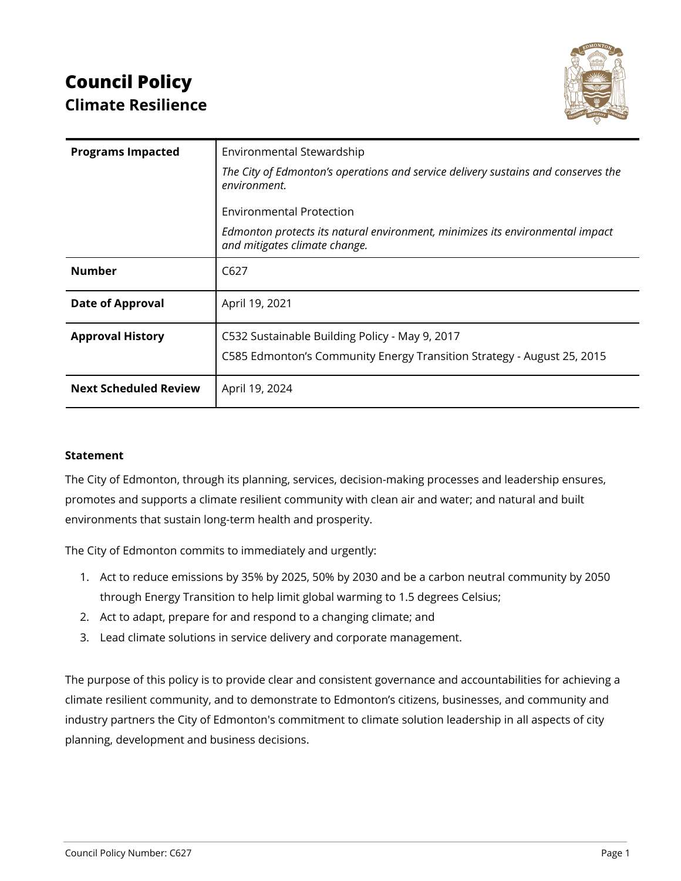# **Council Policy Climate Resilience**



| <b>Programs Impacted</b>     | Environmental Stewardship                                                                                      |
|------------------------------|----------------------------------------------------------------------------------------------------------------|
|                              | The City of Edmonton's operations and service delivery sustains and conserves the<br>environment.              |
|                              | <b>Environmental Protection</b>                                                                                |
|                              | Edmonton protects its natural environment, minimizes its environmental impact<br>and mitigates climate change. |
| <b>Number</b>                | C627                                                                                                           |
| <b>Date of Approval</b>      | April 19, 2021                                                                                                 |
| <b>Approval History</b>      | C532 Sustainable Building Policy - May 9, 2017                                                                 |
|                              | C585 Edmonton's Community Energy Transition Strategy - August 25, 2015                                         |
| <b>Next Scheduled Review</b> | April 19, 2024                                                                                                 |

#### **Statement**

The City of Edmonton, through its planning, services, decision-making processes and leadership ensures, promotes and supports a climate resilient community with clean air and water; and natural and built environments that sustain long-term health and prosperity.

The City of Edmonton commits to immediately and urgently:

- 1. Act to reduce emissions by 35% by 2025, 50% by 2030 and be a carbon neutral community by 2050 through Energy Transition to help limit global warming to 1.5 degrees Celsius;
- 2. Act to adapt, prepare for and respond to a changing climate; and
- 3. Lead climate solutions in service delivery and corporate management.

The purpose of this policy is to provide clear and consistent governance and accountabilities for achieving a climate resilient community, and to demonstrate to Edmonton's citizens, businesses, and community and industry partners the City of Edmonton's commitment to climate solution leadership in all aspects of city planning, development and business decisions.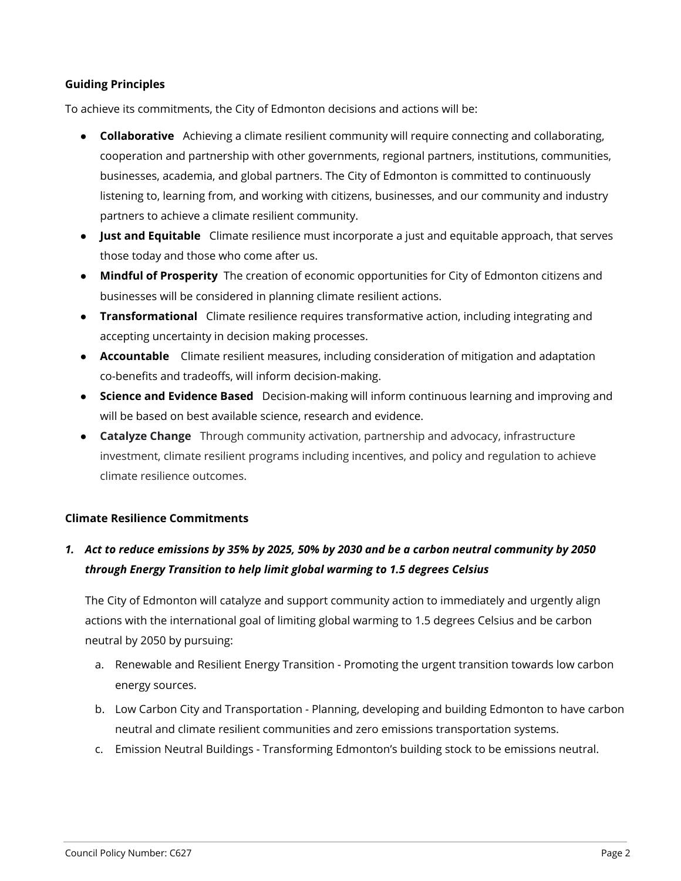### **Guiding Principles**

To achieve its commitments, the City of Edmonton decisions and actions will be:

- **Collaborative** Achieving a climate resilient community will require connecting and collaborating, cooperation and partnership with other governments, regional partners, institutions, communities, businesses, academia, and global partners. The City of Edmonton is committed to continuously listening to, learning from, and working with citizens, businesses, and our community and industry partners to achieve a climate resilient community.
- **Just and Equitable** Climate resilience must incorporate a just and equitable approach, that serves those today and those who come after us.
- **Mindful of Prosperity** The creation of economic opportunities for City of Edmonton citizens and businesses will be considered in planning climate resilient actions.
- **Transformational** Climate resilience requires transformative action, including integrating and accepting uncertainty in decision making processes.
- **Accountable** Climate resilient measures, including consideration of mitigation and adaptation co-benefits and tradeoffs, will inform decision-making.
- **Science and Evidence Based** Decision-making will inform continuous learning and improving and will be based on best available science, research and evidence.
- **Catalyze Change** Through community activation, partnership and advocacy, infrastructure investment, climate resilient programs including incentives, and policy and regulation to achieve climate resilience outcomes.

## **Climate Resilience Commitments**

# 1. Act to reduce emissions by 35% by 2025, 50% by 2030 and be a carbon neutral community by 2050 *through Energy Transition to help limit global warming to 1.5 degrees Celsius*

The City of Edmonton will catalyze and support community action to immediately and urgently align actions with the international goal of limiting global warming to 1.5 degrees Celsius and be carbon neutral by 2050 by pursuing:

- a. Renewable and Resilient Energy Transition Promoting the urgent transition towards low carbon energy sources.
- b. Low Carbon City and Transportation Planning, developing and building Edmonton to have carbon neutral and climate resilient communities and zero emissions transportation systems.
- c. Emission Neutral Buildings Transforming Edmonton's building stock to be emissions neutral.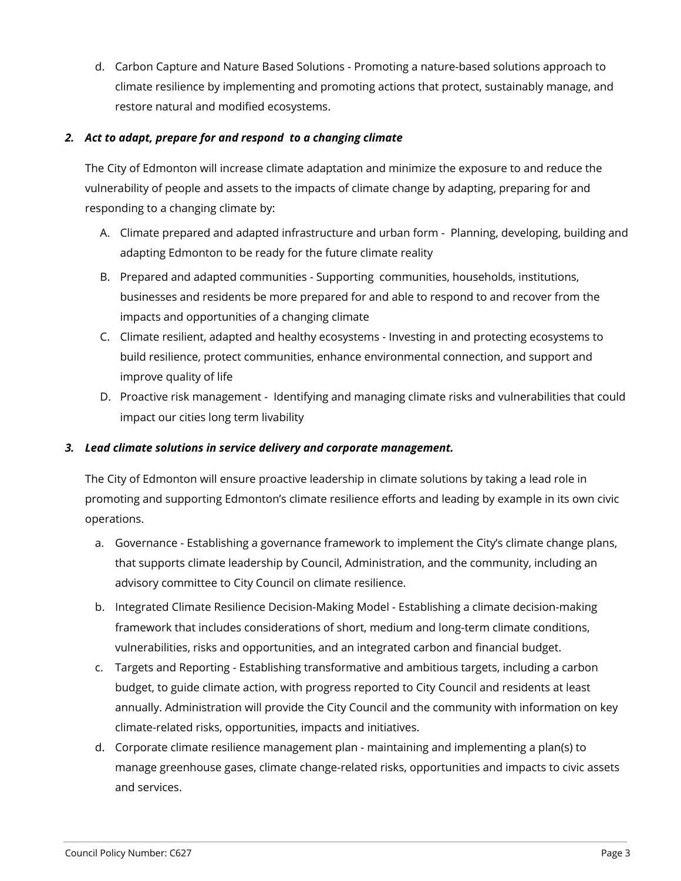d. Carbon Capture and Nature Based Solutions - Promoting a nature-based solutions approach to climate resilience by implementing and promoting actions that protect, sustainably manage, and restore natural and modified ecosystems.

## *2. Act to adapt, prepare for and respond to a changing climate*

The City of Edmonton will increase climate adaptation and minimize the exposure to and reduce the vulnerability of people and assets to the impacts of climate change by adapting, preparing for and responding to a changing climate by:

- A. Climate prepared and adapted infrastructure and urban form Planning, developing, building and adapting Edmonton to be ready for the future climate reality
- B. Prepared and adapted communities Supporting communities, households, institutions, businesses and residents be more prepared for and able to respond to and recover from the impacts and opportunities of a changing climate
- C. Climate resilient, adapted and healthy ecosystems Investing in and protecting ecosystems to build resilience, protect communities, enhance environmental connection, and support and improve quality of life
- D. Proactive risk management Identifying and managing climate risks and vulnerabilities that could impact our cities long term livability

## *3. Lead climate solutions in service delivery and corporate management.*

The City of Edmonton will ensure proactive leadership in climate solutions by taking a lead role in promoting and supporting Edmonton's climate resilience efforts and leading by example in its own civic operations.

- a. Governance Establishing a governance framework to implement the City's climate change plans, that supports climate leadership by Council, Administration, and the community, including an advisory committee to City Council on climate resilience.
- b. Integrated Climate Resilience Decision-Making Model Establishing a climate decision-making framework that includes considerations of short, medium and long-term climate conditions, vulnerabilities, risks and opportunities, and an integrated carbon and financial budget.
- c. Targets and Reporting Establishing transformative and ambitious targets, including a carbon budget, to guide climate action, with progress reported to City Council and residents at least annually. Administration will provide the City Council and the community with information on key climate-related risks, opportunities, impacts and initiatives.
- d. Corporate climate resilience management plan maintaining and implementing a plan(s) to manage greenhouse gases, climate change-related risks, opportunities and impacts to civic assets and services.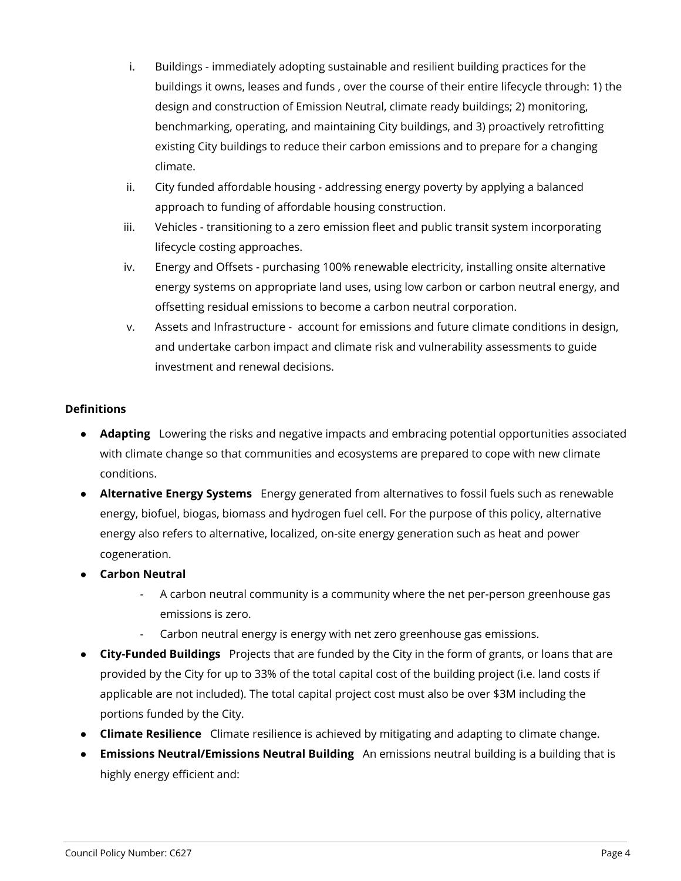- i. Buildings immediately adopting sustainable and resilient building practices for the buildings it owns, leases and funds , over the course of their entire lifecycle through: 1) the design and construction of Emission Neutral, climate ready buildings; 2) monitoring, benchmarking, operating, and maintaining City buildings, and 3) proactively retrofitting existing City buildings to reduce their carbon emissions and to prepare for a changing climate.
- ii. City funded affordable housing addressing energy poverty by applying a balanced approach to funding of affordable housing construction.
- iii. Vehicles transitioning to a zero emission fleet and public transit system incorporating lifecycle costing approaches.
- iv. Energy and Offsets purchasing 100% renewable electricity, installing onsite alternative energy systems on appropriate land uses, using low carbon or carbon neutral energy, and offsetting residual emissions to become a carbon neutral corporation.
- v. Assets and Infrastructure account for emissions and future climate conditions in design, and undertake carbon impact and climate risk and vulnerability assessments to guide investment and renewal decisions.

## **Definitions**

- **Adapting** Lowering the risks and negative impacts and embracing potential opportunities associated with climate change so that communities and ecosystems are prepared to cope with new climate conditions.
- **Alternative Energy Systems** Energy generated from alternatives to fossil fuels such as renewable energy, biofuel, biogas, biomass and hydrogen fuel cell. For the purpose of this policy, alternative energy also refers to alternative, localized, on-site energy generation such as heat and power cogeneration.
- **Carbon Neutral**
	- A carbon neutral community is a community where the net per-person greenhouse gas emissions is zero.
	- Carbon neutral energy is energy with net zero greenhouse gas emissions.
- **City-Funded Buildings** Projects that are funded by the City in the form of grants, or loans that are provided by the City for up to 33% of the total capital cost of the building project (i.e. land costs if applicable are not included). The total capital project cost must also be over \$3M including the portions funded by the City.
- **Climate Resilience** Climate resilience is achieved by mitigating and adapting to climate change.
- **Emissions Neutral/Emissions Neutral Building** An emissions neutral building is a building that is highly energy efficient and: